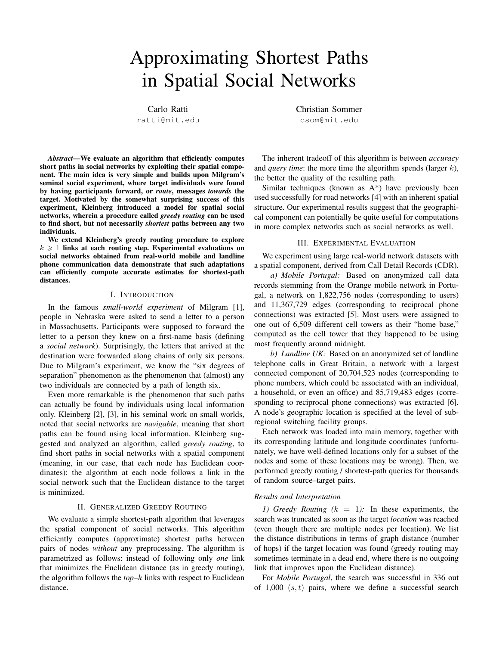# Approximating Shortest Paths in Spatial Social Networks

Carlo Ratti

ratti@mit.edu

*Abstract*—We evaluate an algorithm that efficiently computes short paths in social networks by exploiting their spatial component. The main idea is very simple and builds upon Milgram's seminal social experiment, where target individuals were found by having participants forward, or *route*, messages *towards* the target. Motivated by the somewhat surprising success of this experiment, Kleinberg introduced a model for spatial social networks, wherein a procedure called *greedy routing* can be used to find short, but not necessarily *shortest* paths between any two individuals.

We extend Kleinberg's greedy routing procedure to explore  $k \geq 1$  links at each routing step. Experimental evaluations on social networks obtained from real-world mobile and landline phone communication data demonstrate that such adaptations can efficiently compute accurate estimates for shortest-path distances.

## I. INTRODUCTION

In the famous *small-world experiment* of Milgram [1], people in Nebraska were asked to send a letter to a person in Massachusetts. Participants were supposed to forward the letter to a person they knew on a first-name basis (defining a *social network*). Surprisingly, the letters that arrived at the destination were forwarded along chains of only six persons. Due to Milgram's experiment, we know the "six degrees of separation" phenomenon as the phenomenon that (almost) any two individuals are connected by a path of length six.

Even more remarkable is the phenomenon that such paths can actually be found by individuals using local information only. Kleinberg [2], [3], in his seminal work on small worlds, noted that social networks are *navigable*, meaning that short paths can be found using local information. Kleinberg suggested and analyzed an algorithm, called *greedy routing*, to find short paths in social networks with a spatial component (meaning, in our case, that each node has Euclidean coordinates): the algorithm at each node follows a link in the social network such that the Euclidean distance to the target is minimized.

## II. GENERALIZED GREEDY ROUTING

We evaluate a simple shortest-path algorithm that leverages the spatial component of social networks. This algorithm efficiently computes (approximate) shortest paths between pairs of nodes *without* any preprocessing. The algorithm is parametrized as follows: instead of following only *one* link that minimizes the Euclidean distance (as in greedy routing), the algorithm follows the *top–*k links with respect to Euclidean distance.

Christian Sommer csom@mit.edu

The inherent tradeoff of this algorithm is between *accuracy* and *query time*: the more time the algorithm spends (larger k), the better the quality of the resulting path.

Similar techniques (known as A\*) have previously been used successfully for road networks [4] with an inherent spatial structure. Our experimental results suggest that the geographical component can potentially be quite useful for computations in more complex networks such as social networks as well.

#### III. EXPERIMENTAL EVALUATION

We experiment using large real-world network datasets with a spatial component, derived from Call Detail Records (CDR).

*a) Mobile Portugal:* Based on anonymized call data records stemming from the Orange mobile network in Portugal, a network on 1,822,756 nodes (corresponding to users) and 11,367,729 edges (corresponding to reciprocal phone connections) was extracted [5]. Most users were assigned to one out of 6,509 different cell towers as their "home base," computed as the cell tower that they happened to be using most frequently around midnight.

*b) Landline UK:* Based on an anonymized set of landline telephone calls in Great Britain, a network with a largest connected component of 20,704,523 nodes (corresponding to phone numbers, which could be associated with an individual, a household, or even an office) and 85,719,483 edges (corresponding to reciprocal phone connections) was extracted [6]. A node's geographic location is specified at the level of subregional switching facility groups.

Each network was loaded into main memory, together with its corresponding latitude and longitude coordinates (unfortunately, we have well-defined locations only for a subset of the nodes and some of these locations may be wrong). Then, we performed greedy routing / shortest-path queries for thousands of random source–target pairs.

# *Results and Interpretation*

*1) Greedy Routing (*k = 1*):* In these experiments, the search was truncated as soon as the target *location* was reached (even though there are multiple nodes per location). We list the distance distributions in terms of graph distance (number of hops) if the target location was found (greedy routing may sometimes terminate in a dead end, where there is no outgoing link that improves upon the Euclidean distance).

For *Mobile Portugal*, the search was successful in 336 out of 1,000  $(s, t)$  pairs, where we define a successful search